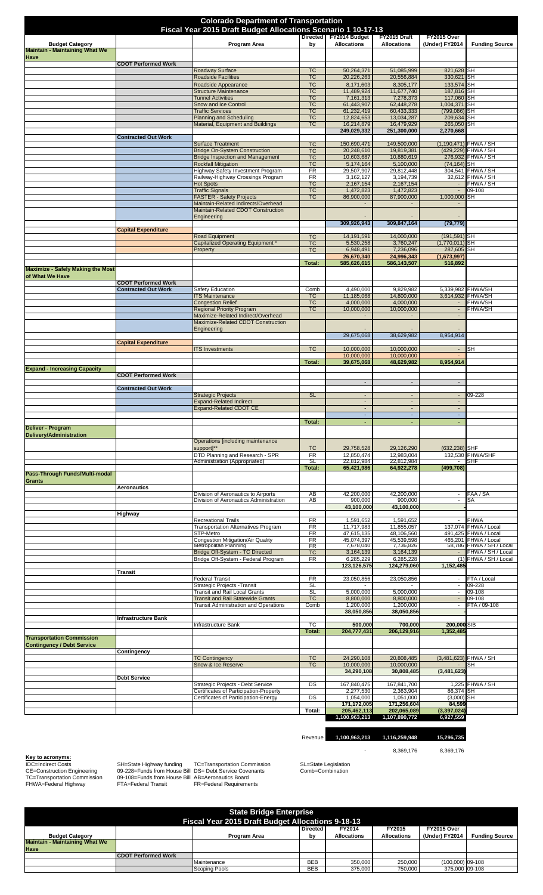|                                                                 | <b>Colorado Department of Transportation</b><br>Fiscal Year 2015 Draft Budget Allocations Scenario 1 10-17-13 |                                                                           |                        |                                         |                                         |                                                      |                                               |  |  |
|-----------------------------------------------------------------|---------------------------------------------------------------------------------------------------------------|---------------------------------------------------------------------------|------------------------|-----------------------------------------|-----------------------------------------|------------------------------------------------------|-----------------------------------------------|--|--|
|                                                                 |                                                                                                               |                                                                           |                        | Directed FY2014 Budget                  | FY2015 Draft                            | FY2015 Over                                          |                                               |  |  |
| <b>Budget Category</b><br><b>Maintain - Maintaining What We</b> |                                                                                                               | Program Area                                                              | bγ                     | <b>Allocations</b>                      | <b>Allocations</b>                      | (Under) FY2014                                       | <b>Funding Source</b>                         |  |  |
| Have                                                            | <b>CDOT Performed Work</b>                                                                                    |                                                                           |                        |                                         |                                         |                                                      |                                               |  |  |
|                                                                 |                                                                                                               | <b>Roadway Surface</b><br><b>Roadside Facilities</b>                      | <b>TC</b><br><b>TC</b> | 50,264,371<br>20,226,263                | 51,085,999<br>20,556,884                | 821,628 SH<br>330,621                                | SH                                            |  |  |
|                                                                 |                                                                                                               | Roadside Appearance                                                       | <b>TC</b>              | 8,171,603                               | 8,305,177                               | 133,574                                              | <b>SH</b>                                     |  |  |
|                                                                 |                                                                                                               | <b>Structure Maintenance</b><br><b>Tunnel Activities</b>                  | <b>TC</b><br><b>TC</b> | 11,489,924<br>7,161,313                 | 11,677,740<br>7,278,373                 | 187,816<br>117,060                                   | <b>SH</b><br>SH                               |  |  |
|                                                                 |                                                                                                               | Snow and Ice Control                                                      | <b>TC</b>              | 61,443,907                              | 62,448,278                              | 1,004,371                                            | <b>SH</b>                                     |  |  |
|                                                                 |                                                                                                               | <b>Traffic Services</b>                                                   | <b>TC</b><br><b>TC</b> | 61,232,419                              | 60,433,333                              | (799, 086)                                           | SН                                            |  |  |
|                                                                 |                                                                                                               | <b>Planning and Scheduling</b><br>Material, Equipment and Buildings       | <b>TC</b>              | 12,824,653<br>16,214,879                | 13,034,287<br>16,479,929                | 209,634<br>265,050                                   | SН<br>SH                                      |  |  |
|                                                                 |                                                                                                               |                                                                           |                        | 249,029,332                             | 251,300,000                             | 2,270,668                                            |                                               |  |  |
|                                                                 | <b>Contracted Out Work</b>                                                                                    | <b>Surface Treatment</b>                                                  | <b>TC</b>              | 150,690,471                             | 149,500,000                             |                                                      | (1,190,471) FHWA / SH                         |  |  |
|                                                                 |                                                                                                               | <b>Bridge On-System Construction</b>                                      | <b>TC</b>              | 20,248,610                              | 19,819,381                              | (429, 229)                                           | FHWA / SH                                     |  |  |
|                                                                 |                                                                                                               | <b>Bridge Inspection and Management</b><br><b>Rockfall Mitigation</b>     | <b>TC</b><br><b>TC</b> | 10,603,687<br>5,174,164                 | 10,880,619<br>5,100,000                 | $(74, 164)$ SH                                       | 276,932 FHWA / SH                             |  |  |
|                                                                 |                                                                                                               | Highway Safety Investment Program                                         | FR                     | 29,507,907                              | 29,812,448                              |                                                      | 304,541 FHWA / SH                             |  |  |
|                                                                 |                                                                                                               | Railway-Highway Crossings Program<br><b>Hot Spots</b>                     | FR<br><b>TC</b>        | 3,162,127<br>2,167,154                  | 3,194,739<br>2,167,154                  | $\sim$                                               | 32,612 FHWA / SH<br>FHWA / SH                 |  |  |
|                                                                 |                                                                                                               | <b>Traffic Signals</b>                                                    | <b>TC</b>              | 1,472,823                               | 1,472,823                               | $\blacksquare$                                       | 09-108                                        |  |  |
|                                                                 |                                                                                                               | <b>FASTER - Safety Projects</b>                                           | <b>TC</b>              | 86,900,000                              | 87,900,000                              | 1,000,000                                            | SH                                            |  |  |
|                                                                 |                                                                                                               | Maintain-Related Indirects/Overhead<br>Maintain-Related CDOT Construction |                        |                                         |                                         |                                                      |                                               |  |  |
|                                                                 |                                                                                                               | Engineering                                                               |                        | 309.926.943                             | 309,847,164                             | (79, 779)                                            |                                               |  |  |
|                                                                 | <b>Capital Expenditure</b>                                                                                    | <b>Road Equipment</b>                                                     | <b>TC</b>              | 14, 191, 591                            | 14,000,000                              | $(191, 591)$ SH                                      |                                               |  |  |
|                                                                 |                                                                                                               | <b>Capitalized Operating Equipment</b>                                    | <b>TC</b>              | 5,530,258                               | 3,760,247                               | $(1,770,011)$ SH                                     |                                               |  |  |
|                                                                 |                                                                                                               | Property                                                                  | <b>TC</b>              | 6,948,491<br>26,670,340                 | 7,236,096<br>24,996,343                 | 287,605 SH<br>(1,673,997)                            |                                               |  |  |
|                                                                 |                                                                                                               |                                                                           | Total:                 | 585,626,615                             | 586,143,507                             | 516,892                                              |                                               |  |  |
| <b>Maximize - Safely Making the Most</b>                        |                                                                                                               |                                                                           |                        |                                         |                                         |                                                      |                                               |  |  |
| of What We Have                                                 | <b>CDOT Performed Work</b>                                                                                    |                                                                           |                        |                                         |                                         |                                                      |                                               |  |  |
|                                                                 | <b>Contracted Out Work</b>                                                                                    | Safety Education                                                          | Comb                   | 4,490,000                               | 9,829,982                               |                                                      | 5,339,982 FHWA/SH                             |  |  |
|                                                                 |                                                                                                               | <b>ITS Maintenance</b><br><b>Congestion Relief</b>                        | <b>TC</b><br><b>TC</b> | 11,185,068<br>4,000,000                 | 14,800,000<br>4,000,000                 | 3,614,932                                            | <b>FHWA/SH</b><br><b>FHWA/SH</b>              |  |  |
|                                                                 |                                                                                                               | <b>Regional Priority Program</b>                                          | <b>TC</b>              | 10,000,000                              | 10,000,000                              | $\overline{\phantom{a}}$<br>$\overline{\phantom{a}}$ | <b>FHWA/SH</b>                                |  |  |
|                                                                 |                                                                                                               | Maximize-Related Indirect/Overhead                                        |                        |                                         |                                         | $\overline{\phantom{a}}$                             |                                               |  |  |
|                                                                 |                                                                                                               | Maximize-Related CDOT Construction<br>Engineering                         |                        |                                         |                                         |                                                      |                                               |  |  |
|                                                                 |                                                                                                               |                                                                           |                        | 29,675,068                              | 38,629,982                              | 8,954,914                                            |                                               |  |  |
|                                                                 | <b>Capital Expenditure</b>                                                                                    | <b>ITS Investments</b>                                                    | <b>TC</b>              | 10,000,000                              | 10,000,000                              | $\sim$                                               | SН                                            |  |  |
|                                                                 |                                                                                                               |                                                                           |                        | 10,000,000                              | 10,000,000                              |                                                      |                                               |  |  |
|                                                                 |                                                                                                               |                                                                           | Total:                 | 39,675,068                              | 48,629,982                              | 8,954,914                                            |                                               |  |  |
| <b>Expand - Increasing Capacity</b>                             | <b>CDOT Performed Work</b>                                                                                    |                                                                           |                        |                                         |                                         |                                                      |                                               |  |  |
|                                                                 |                                                                                                               |                                                                           |                        | $\overline{\phantom{a}}$                | $\blacksquare$                          | $\overline{\phantom{a}}$                             |                                               |  |  |
|                                                                 | <b>Contracted Out Work</b>                                                                                    | <b>Strategic Projects</b>                                                 | <b>SL</b>              |                                         |                                         |                                                      | 09-228                                        |  |  |
|                                                                 |                                                                                                               | <b>Expand-Related Indirect</b>                                            |                        | $\blacksquare$                          |                                         | $\overline{\phantom{a}}$                             |                                               |  |  |
|                                                                 |                                                                                                               | <b>Expand-Related CDOT CE</b>                                             |                        | $\overline{a}$<br>$\blacksquare$        | $\overline{a}$                          | $\mathcal{L}$<br>$\overline{\phantom{a}}$            |                                               |  |  |
|                                                                 |                                                                                                               |                                                                           | Total:                 |                                         |                                         |                                                      |                                               |  |  |
| Deliver - Program                                               |                                                                                                               |                                                                           |                        |                                         |                                         |                                                      |                                               |  |  |
| Delivery/Administration                                         |                                                                                                               | Operations [including maintenance                                         |                        |                                         |                                         |                                                      |                                               |  |  |
|                                                                 |                                                                                                               |                                                                           |                        |                                         |                                         |                                                      |                                               |  |  |
|                                                                 |                                                                                                               | support]**                                                                | <b>TC</b>              | 29,758,528                              | 29,126,290                              | $(632, 238)$ SHF                                     |                                               |  |  |
|                                                                 |                                                                                                               | DTD Planning and Research - SPR                                           | <b>FR</b>              | 12,850,474                              | 12.983.004                              |                                                      | 132,530 FHWA/SHF                              |  |  |
|                                                                 |                                                                                                               | Administration (Appropriated)                                             | SL<br>Total:           | 22,812,984<br>65,421,986                | 22,812,984<br>64,922,278                | (499, 708)                                           | SHF                                           |  |  |
| Pass-Through Funds/Multi-modal                                  |                                                                                                               |                                                                           |                        |                                         |                                         |                                                      |                                               |  |  |
| Grants                                                          | <b>Aeronautics</b>                                                                                            |                                                                           |                        |                                         |                                         |                                                      |                                               |  |  |
|                                                                 |                                                                                                               | Division of Aeronautics to Airports                                       | AB                     | 42,200,000                              | 42,200,000                              | $\overline{\phantom{a}}$                             | FAA / SA                                      |  |  |
|                                                                 |                                                                                                               | Division of Aeronautics Administration                                    | AB                     | 900,000<br>43,100,000                   | 900,000<br>43,100,000                   | $\overline{\phantom{a}}$                             | SA                                            |  |  |
|                                                                 | Highway                                                                                                       |                                                                           |                        |                                         |                                         |                                                      |                                               |  |  |
|                                                                 |                                                                                                               | <b>Recreational Trails</b>                                                | FR                     | 1,591,652                               | 1,591,652                               | $\overline{\phantom{a}}$                             | <b>FHWA</b>                                   |  |  |
|                                                                 |                                                                                                               | <b>Transportation Alternatives Program</b><br>STP-Metro                   | FR<br>FR               | 11,717,983<br>47,615,135                | 11,855,057<br>48,106,560                |                                                      | 137,074 FHWA / Local<br>491,425 FHWA / Local  |  |  |
|                                                                 |                                                                                                               | Congestion Mitigation/Air Quality                                         | FR                     | 45,074,397                              | 45,539,598                              |                                                      | 465,201 FHWA / Local                          |  |  |
|                                                                 |                                                                                                               | Metropolitan Planning<br>Bridge Off-System - TC Directed                  | FR<br><b>TC</b>        | 7,678,040<br>3,164,139                  | 7,736,826<br>3,164,139                  | $\blacksquare$                                       | 58,786 FHWA / SH / Local<br>FHWA / SH / Local |  |  |
|                                                                 |                                                                                                               | Bridge Off-System - Federal Program                                       | FR                     | 6,285,229                               | 6,285,228                               |                                                      | (1) FHWA / SH / Local                         |  |  |
|                                                                 | Transit                                                                                                       |                                                                           |                        | 123,126,575                             | 124,279,060                             | 1,152,485                                            |                                               |  |  |
|                                                                 |                                                                                                               | <b>Federal Transit</b>                                                    | FR                     | 23,050,856                              | 23,050,856                              | $\blacksquare$                                       | FTA / Local                                   |  |  |
|                                                                 |                                                                                                               | Strategic Projects - Transit<br>Transit and Rail Local Grants             | <b>SL</b><br><b>SL</b> | 5,000,000                               | 5,000,000                               | $\overline{\phantom{a}}$<br>$\overline{\phantom{a}}$ | 09-228<br>$09 - 108$                          |  |  |
|                                                                 |                                                                                                               | <b>Transit and Rail Statewide Grants</b>                                  | <b>TC</b>              | 8,800,000                               | 8,800,000                               | $\blacksquare$                                       | 09-108                                        |  |  |
|                                                                 |                                                                                                               | <b>Transit Administration and Operations</b>                              | Comb                   | 1,200,000                               | 1,200,000                               | $\overline{\phantom{a}}$                             | FTA / 09-108                                  |  |  |
|                                                                 | Infrastructure Bank                                                                                           |                                                                           |                        | 38,050,856                              | 38,050,856                              |                                                      |                                               |  |  |
|                                                                 |                                                                                                               | Infrastructure Bank                                                       | ТC                     | 500,000                                 | 700,000                                 | 200,000 SIB                                          |                                               |  |  |
| <b>Transportation Commission</b>                                |                                                                                                               |                                                                           | Total:                 | 204,777,431                             | 206,129,916                             | 1,352,485                                            |                                               |  |  |
| <b>Contingency / Debt Service</b>                               |                                                                                                               |                                                                           |                        |                                         |                                         |                                                      |                                               |  |  |
|                                                                 | Contingency                                                                                                   | <b>TC Contingency</b>                                                     | <b>TC</b>              | 24,290,108                              | 20,808,485                              |                                                      | (3,481,623) FHWA / SH                         |  |  |
|                                                                 |                                                                                                               | Snow & Ice Reserve                                                        | <b>TC</b>              | 10,000,000                              | 10,000,000                              |                                                      | SН                                            |  |  |
|                                                                 |                                                                                                               |                                                                           |                        | 34,290,108                              | 30,808,485                              | (3,481,623)                                          |                                               |  |  |
|                                                                 | <b>Debt Service</b>                                                                                           | Strategic Projects - Debt Service                                         | DS                     | 167,840,475                             | 167,841,700                             |                                                      | 1,225 FHWA / SH                               |  |  |
|                                                                 |                                                                                                               | Certificates of Participation-Property                                    |                        | 2,277,530                               | 2,363,904                               | 86,374                                               | SH                                            |  |  |
|                                                                 |                                                                                                               | Certificates of Participation-Energy                                      | DS<br>Total:           | 1,054,000<br>171,172,005<br>205,462,113 | 1,051,000<br>171,256,604<br>202,065,089 | (3,000)<br>84,599<br>(3, 397, 024)                   | SH                                            |  |  |

**Key to acronyms:**<br>IDC=Indirect Costs<br>CE=Construction Engineering<br>TC=Transportation Commission<br>FHWA=Federal Highway

IDC=Indirect Costs SH=State Highway funding TC=Transportation Commission SL=State Legislation<br>CE=Construction Engineering 09-228=Funds from House Bill DS= Debt Service Covenants Comb=Combination<br>TC=T

- 8,369,176 8,369,176

Revenue **1,100,963,213 1,116,259,948 15,296,735** 

|                                                          |                            | <b>State Bridge Enterprise</b> |                 |                    |                    |                    |                       |
|----------------------------------------------------------|----------------------------|--------------------------------|-----------------|--------------------|--------------------|--------------------|-----------------------|
| <b>Fiscal Year 2015 Draft Budget Allocations 9-18-13</b> |                            |                                |                 |                    |                    |                    |                       |
|                                                          |                            |                                | <b>Directed</b> | FY2014             | FY2015             | <b>FY2015 Over</b> |                       |
| <b>Budget Category</b>                                   |                            | Program Area                   | bv              | <b>Allocations</b> | <b>Allocations</b> | (Under) FY2014     | <b>Funding Source</b> |
| Maintain - Maintaining What We                           |                            |                                |                 |                    |                    |                    |                       |
| <b>Have</b>                                              |                            |                                |                 |                    |                    |                    |                       |
|                                                          | <b>CDOT Performed Work</b> |                                |                 |                    |                    |                    |                       |
|                                                          |                            | Maintenance                    | <b>BEB</b>      | 350,000            | 250,000            | (100.000) 09-108   |                       |
|                                                          |                            | Scoping Pools                  | <b>BEB</b>      | 375,000            | 750,000            | 375,000 09-108     |                       |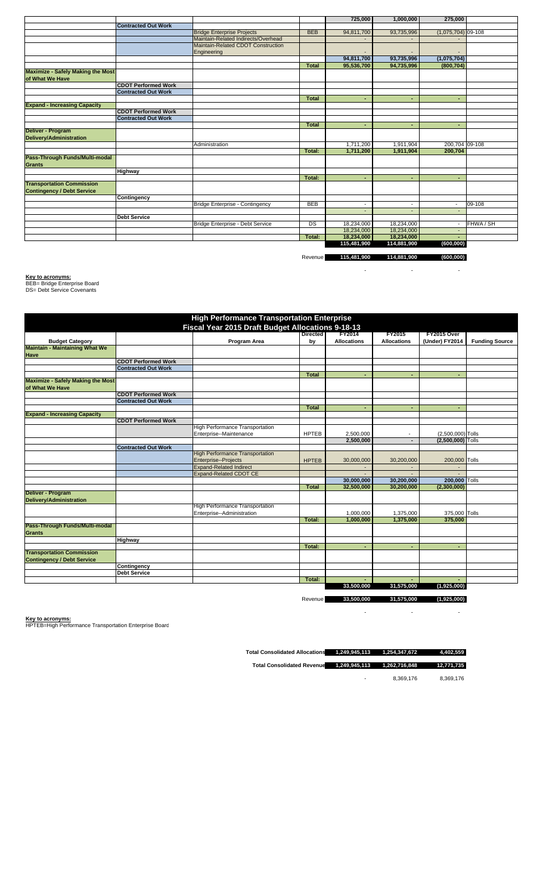|                                          |                            |                                     |              | 725,000                  | 1,000,000                | 275,000                  |           |
|------------------------------------------|----------------------------|-------------------------------------|--------------|--------------------------|--------------------------|--------------------------|-----------|
|                                          | <b>Contracted Out Work</b> |                                     |              |                          |                          |                          |           |
|                                          |                            | <b>Bridge Enterprise Projects</b>   | <b>BEB</b>   | 94,811,700               | 93,735,996               | $(1,075,704)$ 09-108     |           |
|                                          |                            | Maintain-Related Indirects/Overhead |              |                          |                          |                          |           |
|                                          |                            | Maintain-Related CDOT Construction  |              |                          |                          |                          |           |
|                                          |                            | Engineering                         |              |                          |                          |                          |           |
|                                          |                            |                                     |              | 94,811,700               | 93,735,996               | (1,075,704)              |           |
|                                          |                            |                                     | <b>Total</b> | 95,536,700               | 94,735,996               | (800, 704)               |           |
| <b>Maximize - Safely Making the Most</b> |                            |                                     |              |                          |                          |                          |           |
| of What We Have                          |                            |                                     |              |                          |                          |                          |           |
|                                          | <b>CDOT Performed Work</b> |                                     |              |                          |                          |                          |           |
|                                          | <b>Contracted Out Work</b> |                                     |              |                          |                          |                          |           |
|                                          |                            |                                     | Total        |                          |                          | ٠                        |           |
| <b>Expand - Increasing Capacity</b>      |                            |                                     |              |                          |                          |                          |           |
|                                          | <b>CDOT Performed Work</b> |                                     |              |                          |                          |                          |           |
|                                          | <b>Contracted Out Work</b> |                                     |              |                          |                          |                          |           |
|                                          |                            |                                     | <b>Total</b> | ۰                        |                          | ٠                        |           |
| Deliver - Program                        |                            |                                     |              |                          |                          |                          |           |
| Delivery/Administration                  |                            |                                     |              |                          |                          |                          |           |
|                                          |                            | Administration                      |              | 1,711,200                | 1,911,904                | 200,704 09-108           |           |
|                                          |                            |                                     | Total:       | 1,711,200                | 1,911,904                | 200,704                  |           |
| Pass-Through Funds/Multi-modal           |                            |                                     |              |                          |                          |                          |           |
| <b>Grants</b>                            |                            |                                     |              |                          |                          |                          |           |
|                                          | <b>Highway</b>             |                                     |              |                          |                          |                          |           |
|                                          |                            |                                     | Total:       | ٠                        |                          | ٠                        |           |
| <b>Transportation Commission</b>         |                            |                                     |              |                          |                          |                          |           |
| <b>Contingency / Debt Service</b>        |                            |                                     |              |                          |                          |                          |           |
|                                          | Contingency                |                                     |              |                          |                          |                          |           |
|                                          |                            | Bridge Enterprise - Contingency     | <b>BEB</b>   | $\overline{\phantom{a}}$ | $\overline{\phantom{a}}$ | $\overline{\phantom{a}}$ | 09-108    |
|                                          |                            |                                     |              |                          |                          | $\overline{\phantom{a}}$ |           |
|                                          | <b>Debt Service</b>        |                                     |              |                          |                          |                          |           |
|                                          |                            | Bridge Enterprise - Debt Service    | DS           | 18,234,000               | 18,234,000               |                          | FHWA / SH |
|                                          |                            |                                     |              | 18,234,000               | 18,234,000               |                          |           |
|                                          |                            |                                     | Total:       | 18,234,000               | 18,234,000               |                          |           |
|                                          |                            |                                     |              | 115,481,900              | 114,881,900              | (600, 000)               |           |

Revenue **115,481,900 114,881,900 (600,000)**

- - -

**Key to acronyms:** BEB= Bridge Enterprise Board DS= Debt Service Covenants

|                                          |                            | <b>High Performance Transportation Enterprise</b> |                 |                    |                          |                          |                       |
|------------------------------------------|----------------------------|---------------------------------------------------|-----------------|--------------------|--------------------------|--------------------------|-----------------------|
|                                          |                            | Fiscal Year 2015 Draft Budget Allocations 9-18-13 |                 |                    |                          |                          |                       |
|                                          |                            |                                                   | <b>Directed</b> | <b>FY2014</b>      | <b>FY2015</b>            | FY2015 Over              |                       |
| <b>Budget Category</b>                   |                            | Program Area                                      | by              | <b>Allocations</b> | <b>Allocations</b>       | (Under) FY2014           | <b>Funding Source</b> |
| <b>Maintain - Maintaining What We</b>    |                            |                                                   |                 |                    |                          |                          |                       |
| <b>Have</b>                              |                            |                                                   |                 |                    |                          |                          |                       |
|                                          | <b>CDOT Performed Work</b> |                                                   |                 |                    |                          |                          |                       |
|                                          | <b>Contracted Out Work</b> |                                                   |                 |                    |                          |                          |                       |
|                                          |                            |                                                   | <b>Total</b>    | ٠                  |                          |                          |                       |
| <b>Maximize - Safely Making the Most</b> |                            |                                                   |                 |                    |                          |                          |                       |
| of What We Have                          |                            |                                                   |                 |                    |                          |                          |                       |
|                                          | <b>CDOT Performed Work</b> |                                                   |                 |                    |                          |                          |                       |
|                                          | <b>Contracted Out Work</b> |                                                   |                 |                    |                          |                          |                       |
|                                          |                            |                                                   | <b>Total</b>    |                    |                          |                          |                       |
| <b>Expand - Increasing Capacity</b>      |                            |                                                   |                 |                    |                          |                          |                       |
|                                          | <b>CDOT Performed Work</b> |                                                   |                 |                    |                          |                          |                       |
|                                          |                            | <b>High Performance Transportation</b>            |                 |                    |                          |                          |                       |
|                                          |                            | Enterprise--Maintenance                           | <b>HPTEB</b>    | 2,500,000          | $\overline{\phantom{a}}$ | (2,500,000) Tolls        |                       |
|                                          |                            |                                                   |                 | 2,500,000          |                          | (2,500,000) Tolls        |                       |
|                                          | <b>Contracted Out Work</b> |                                                   |                 |                    |                          |                          |                       |
|                                          |                            | <b>High Performance Transportation</b>            |                 |                    |                          |                          |                       |
|                                          |                            | Enterprise--Projects                              | <b>HPTEB</b>    | 30,000,000         | 30,200,000               | 200,000 Tolls            |                       |
|                                          |                            | <b>Expand-Related Indirect</b>                    |                 |                    |                          | $\overline{\phantom{a}}$ |                       |
|                                          |                            | <b>Expand-Related CDOT CE</b>                     |                 |                    |                          |                          |                       |
|                                          |                            |                                                   |                 | 30,000,000         | 30,200,000               | 200,000 Tolls            |                       |
|                                          |                            |                                                   | <b>Total</b>    | 32,500,000         | 30,200,000               | (2,300,000)              |                       |
| Deliver - Program                        |                            |                                                   |                 |                    |                          |                          |                       |
| <b>Delivery/Administration</b>           |                            |                                                   |                 |                    |                          |                          |                       |
|                                          |                            | High Performance Transportation                   |                 |                    |                          |                          |                       |
|                                          |                            | Enterprise--Administration                        |                 | 1,000,000          | 1,375,000                | 375,000 Tolls            |                       |
|                                          |                            |                                                   | Total:          | 1,000,000          | 1,375,000                | 375.000                  |                       |
| Pass-Through Funds/Multi-modal           |                            |                                                   |                 |                    |                          |                          |                       |
| <b>Grants</b>                            |                            |                                                   |                 |                    |                          |                          |                       |
|                                          | <b>Highway</b>             |                                                   |                 |                    |                          |                          |                       |
|                                          |                            |                                                   | Total:          | ٠                  |                          |                          |                       |
| <b>Transportation Commission</b>         |                            |                                                   |                 |                    |                          |                          |                       |
| <b>Contingency / Debt Service</b>        |                            |                                                   |                 |                    |                          |                          |                       |
|                                          | Contingency                |                                                   |                 |                    |                          |                          |                       |
|                                          | <b>Debt Service</b>        |                                                   |                 |                    |                          |                          |                       |
|                                          |                            |                                                   | Total:          |                    |                          |                          |                       |
|                                          |                            |                                                   |                 | 33,500,000         | 31,575,000               | (1,925,000)              |                       |
|                                          |                            |                                                   |                 |                    |                          |                          |                       |
|                                          |                            |                                                   | Revenue         | 33,500,000         | 31,575,000               | (1,925,000)              |                       |

- - -

**Key to acronyms:** HPTEB=High Performance Transportation Enterprise Board

**Total Consolidated Allocations 1,249,945,113 1,254,347,672 4,402,559** 

**Total Consolidated Revenue 1,249,945,113 1,262,716,848 12,771,735** 

- 8,369,176 8,369,176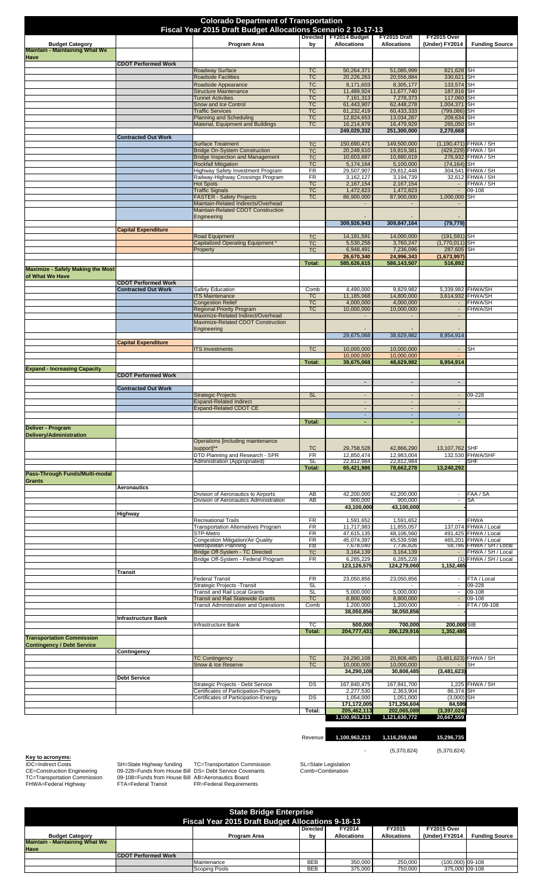| <b>Colorado Department of Transportation</b><br>Fiscal Year 2015 Draft Budget Allocations Scenario 2 10-17-13 |                                                          |                                                                                 |                        |                                         |                                         |                                                      |                                              |
|---------------------------------------------------------------------------------------------------------------|----------------------------------------------------------|---------------------------------------------------------------------------------|------------------------|-----------------------------------------|-----------------------------------------|------------------------------------------------------|----------------------------------------------|
|                                                                                                               |                                                          |                                                                                 |                        | Directed FY2014 Budget                  | FY2015 Draft                            | FY2015 Over                                          |                                              |
| <b>Budget Category</b><br><b>Maintain - Maintaining What We</b>                                               |                                                          | Program Area                                                                    | bγ                     | <b>Allocations</b>                      | <b>Allocations</b>                      | (Under) FY2014                                       | <b>Funding Source</b>                        |
| Have                                                                                                          | <b>CDOT Performed Work</b>                               |                                                                                 | <b>TC</b>              |                                         |                                         |                                                      |                                              |
|                                                                                                               |                                                          | <b>Roadway Surface</b><br><b>Roadside Facilities</b>                            | <b>TC</b>              | 50,264,371<br>20,226,263                | 51,085,999<br>20,556,884                | 821,628 SH<br>330,621                                | SH                                           |
|                                                                                                               |                                                          | Roadside Appearance                                                             | <b>TC</b>              | 8,171,603                               | 8,305,177                               | 133,574                                              | <b>SH</b>                                    |
|                                                                                                               |                                                          | <b>Structure Maintenance</b><br><b>Tunnel Activities</b>                        | <b>TC</b><br><b>TC</b> | 11,489,924<br>7,161,313                 | 11,677,740<br>7,278,373                 | 187,816<br>117,060                                   | <b>SH</b><br>SH                              |
|                                                                                                               |                                                          | Snow and Ice Control                                                            | <b>TC</b>              | 61,443,907                              | 62,448,278                              | 1,004,371                                            | <b>SH</b>                                    |
|                                                                                                               |                                                          | <b>Traffic Services</b><br><b>Planning and Scheduling</b>                       | <b>TC</b><br><b>TC</b> | 61,232,419<br>12,824,653                | 60,433,333<br>13,034,287                | (799, 086)<br>209,634                                | SН<br>SН                                     |
|                                                                                                               |                                                          | Material, Equipment and Buildings                                               | <b>TC</b>              | 16,214,879                              | 16,479,929                              | 265,050                                              | SH                                           |
|                                                                                                               | <b>Contracted Out Work</b>                               |                                                                                 |                        | 249,029,332                             | 251,300,000                             | 2,270,668                                            |                                              |
|                                                                                                               |                                                          | <b>Surface Treatment</b>                                                        | <b>TC</b>              | 150,690,471                             | 149,500,000                             |                                                      | (1,190,471) FHWA / SH                        |
|                                                                                                               |                                                          | <b>Bridge On-System Construction</b><br><b>Bridge Inspection and Management</b> | <b>TC</b><br><b>TC</b> | 20,248,610<br>10,603,687                | 19,819,381<br>10,880,619                | (429, 229)                                           | FHWA / SH<br>276,932 FHWA / SH               |
|                                                                                                               |                                                          | <b>Rockfall Mitigation</b>                                                      | <b>TC</b>              | 5,174,164                               | 5,100,000                               | $(74, 164)$ SH                                       |                                              |
|                                                                                                               |                                                          | Highway Safety Investment Program<br>Railway-Highway Crossings Program          | FR<br>FR               | 29,507,907<br>3,162,127                 | 29,812,448<br>3,194,739                 |                                                      | 304,541 FHWA / SH<br>32,612 FHWA / SH        |
|                                                                                                               |                                                          | <b>Hot Spots</b>                                                                | <b>TC</b>              | 2,167,154                               | 2,167,154                               | $\sim$                                               | FHWA / SH                                    |
|                                                                                                               |                                                          | <b>Traffic Signals</b>                                                          | <b>TC</b>              | 1,472,823                               | 1,472,823                               | $\blacksquare$                                       | 09-108                                       |
|                                                                                                               |                                                          | <b>FASTER - Safety Projects</b><br>Maintain-Related Indirects/Overhead          | <b>TC</b>              | 86,900,000                              | 87,900,000                              | 1,000,000                                            | SH                                           |
|                                                                                                               |                                                          | Maintain-Related CDOT Construction<br>Engineering                               |                        |                                         |                                         |                                                      |                                              |
|                                                                                                               | <b>Capital Expenditure</b>                               |                                                                                 |                        | 309.926.943                             | 309,847,164                             | (79, 779)                                            |                                              |
|                                                                                                               |                                                          | <b>Road Equipment</b>                                                           | <b>TC</b>              | 14, 191, 591                            | 14,000,000                              | $(191, 591)$ SH                                      |                                              |
|                                                                                                               |                                                          | <b>Capitalized Operating Equipment</b><br>Property                              | <b>TC</b><br><b>TC</b> | 5,530,258<br>6,948,491                  | 3,760,247<br>7,236,096                  | $(1,770,011)$ SH<br>287,605 SH                       |                                              |
|                                                                                                               |                                                          |                                                                                 |                        | 26,670,340                              | 24,996,343                              | (1,673,997)                                          |                                              |
| <b>Maximize - Safely Making the Most</b>                                                                      |                                                          |                                                                                 | Total:                 | 585,626,615                             | 586,143,507                             | 516,892                                              |                                              |
| of What We Have                                                                                               |                                                          |                                                                                 |                        |                                         |                                         |                                                      |                                              |
|                                                                                                               | <b>CDOT Performed Work</b><br><b>Contracted Out Work</b> | Safety Education                                                                | Comb                   | 4,490,000                               | 9,829,982                               |                                                      | 5,339,982 FHWA/SH                            |
|                                                                                                               |                                                          | <b>ITS Maintenance</b>                                                          | <b>TC</b>              | 11,185,068                              | 14,800,000                              | 3,614,932                                            | <b>FHWA/SH</b>                               |
|                                                                                                               |                                                          | <b>Congestion Relief</b><br><b>Regional Priority Program</b>                    | <b>TC</b><br><b>TC</b> | 4,000,000<br>10,000,000                 | 4,000,000<br>10,000,000                 | $\overline{\phantom{a}}$<br>$\overline{\phantom{a}}$ | <b>FHWA/SH</b><br><b>FHWA/SH</b>             |
|                                                                                                               |                                                          | Maximize-Related Indirect/Overhead                                              |                        |                                         |                                         | $\overline{\phantom{a}}$                             |                                              |
|                                                                                                               |                                                          | Maximize-Related CDOT Construction                                              |                        |                                         |                                         |                                                      |                                              |
|                                                                                                               |                                                          | Engineering                                                                     |                        | 29,675,068                              | 38,629,982                              | 8,954,914                                            |                                              |
|                                                                                                               | <b>Capital Expenditure</b>                               |                                                                                 |                        |                                         |                                         |                                                      |                                              |
|                                                                                                               |                                                          | <b>ITS Investments</b>                                                          | <b>TC</b>              | 10,000,000<br>10,000,000                | 10,000,000<br>10,000,000                | $\sim$                                               | SН                                           |
|                                                                                                               |                                                          |                                                                                 | Total:                 | 39,675,068                              | 48,629,982                              | 8.954.914                                            |                                              |
| <b>Expand - Increasing Capacity</b>                                                                           | <b>CDOT Performed Work</b>                               |                                                                                 |                        |                                         |                                         |                                                      |                                              |
|                                                                                                               |                                                          |                                                                                 |                        | $\overline{\phantom{a}}$                | $\blacksquare$                          | $\overline{\phantom{a}}$                             |                                              |
|                                                                                                               | <b>Contracted Out Work</b>                               | <b>Strategic Projects</b>                                                       | <b>SL</b>              |                                         |                                         |                                                      | 09-228                                       |
|                                                                                                               |                                                          | <b>Expand-Related Indirect</b>                                                  |                        | $\blacksquare$                          |                                         | $\overline{\phantom{a}}$                             |                                              |
|                                                                                                               |                                                          | <b>Expand-Related CDOT CE</b>                                                   |                        | $\overline{a}$                          | $\overline{a}$                          | $\mathcal{L}$                                        |                                              |
|                                                                                                               |                                                          |                                                                                 |                        |                                         |                                         |                                                      |                                              |
|                                                                                                               |                                                          |                                                                                 | Total:                 | $\blacksquare$                          |                                         | $\overline{\phantom{a}}$                             |                                              |
| Deliver - Program                                                                                             |                                                          |                                                                                 |                        |                                         |                                         |                                                      |                                              |
| <b>Delivery/Administration</b>                                                                                |                                                          | Operations [including maintenance                                               |                        |                                         |                                         |                                                      |                                              |
|                                                                                                               |                                                          | support]**                                                                      | <b>TC</b>              | 29,758,528                              | 42,866,290                              | 13,107,762 SHF                                       |                                              |
|                                                                                                               |                                                          | DTD Planning and Research - SPR<br>Administration (Appropriated)                | <b>FR</b><br>SL        | 12,850,474<br>22,812,984                | 12,983,004<br>22,812,984                |                                                      | 132,530 FHWA/SHF<br>SHF                      |
|                                                                                                               |                                                          |                                                                                 | Total:                 | 65,421,986                              | 78,662,278                              | 13,240,292                                           |                                              |
| Pass-Through Funds/Multi-modal<br>Grants                                                                      |                                                          |                                                                                 |                        |                                         |                                         |                                                      |                                              |
|                                                                                                               | <b>Aeronautics</b>                                       |                                                                                 |                        |                                         |                                         |                                                      |                                              |
|                                                                                                               |                                                          | Division of Aeronautics to Airports<br>Division of Aeronautics Administration   | AB<br>AB               | 42,200,000<br>900,000                   | 42.200.000<br>900,000                   | $\overline{\phantom{a}}$<br>$\overline{\phantom{a}}$ | FAA / SA<br>SA                               |
|                                                                                                               |                                                          |                                                                                 |                        | 43,100,000                              | 43,100,000                              |                                                      |                                              |
|                                                                                                               | Highway                                                  | <b>Recreational Trails</b>                                                      | FR                     | 1,591,652                               | 1,591,652                               | $\overline{\phantom{a}}$                             | <b>FHWA</b>                                  |
|                                                                                                               |                                                          | <b>Transportation Alternatives Program</b>                                      | FR                     | 11,717,983                              | 11,855,057                              |                                                      | 137,074 FHWA / Local                         |
|                                                                                                               |                                                          | STP-Metro<br>Congestion Mitigation/Air Quality                                  | FR<br>FR               | 47,615,135<br>45,074,397                | 48,106,560<br>45,539,598                |                                                      | 491,425 FHWA / Local<br>465,201 FHWA / Local |
|                                                                                                               |                                                          | Metropolitan Planning                                                           | FR                     | 7,678,040                               | 7,736,826                               |                                                      | 58,786 FHWA / SH / Local                     |
|                                                                                                               |                                                          | Bridge Off-System - TC Directed<br>Bridge Off-System - Federal Program          | <b>TC</b><br>FR        | 3,164,139<br>6,285,229                  | 3,164,139<br>6,285,228                  | $\blacksquare$                                       | FHWA / SH / Local<br>(1) FHWA / SH / Local   |
|                                                                                                               |                                                          |                                                                                 |                        | 123,126,575                             | 124,279,060                             | 1,152,485                                            |                                              |
|                                                                                                               | Transit                                                  | <b>Federal Transit</b>                                                          | FR                     | 23,050,856                              | 23,050,856                              | $\blacksquare$                                       | FTA / Local                                  |
|                                                                                                               |                                                          | Strategic Projects - Transit                                                    | <b>SL</b>              |                                         |                                         | $\overline{\phantom{a}}$                             | 09-228                                       |
|                                                                                                               |                                                          | Transit and Rail Local Grants<br><b>Transit and Rail Statewide Grants</b>       | <b>SL</b><br><b>TC</b> | 5,000,000<br>8,800,000                  | 5,000,000<br>8,800,000                  | $\sim$<br>$\blacksquare$                             | $09 - 108$<br>09-108                         |
|                                                                                                               |                                                          | <b>Transit Administration and Operations</b>                                    | Comb                   | 1,200,000                               | 1,200,000                               | $\overline{\phantom{a}}$                             | FTA / 09-108                                 |
|                                                                                                               | Infrastructure Bank                                      |                                                                                 |                        | 38,050,856                              | 38,050,856                              |                                                      |                                              |
|                                                                                                               |                                                          | Infrastructure Bank                                                             | ТC                     | 500,000                                 | 700,000                                 | 200,000 SIB                                          |                                              |
| <b>Transportation Commission</b>                                                                              |                                                          |                                                                                 | Total:                 | 204,777,431                             | 206,129,916                             | 1,352,485                                            |                                              |
| <b>Contingency / Debt Service</b>                                                                             |                                                          |                                                                                 |                        |                                         |                                         |                                                      |                                              |
|                                                                                                               | Contingency                                              |                                                                                 |                        |                                         |                                         |                                                      |                                              |
|                                                                                                               |                                                          | <b>TC Contingency</b><br>Snow & Ice Reserve                                     | <b>TC</b><br><b>TC</b> | 24,290,108<br>10,000,000                | 20,808,485<br>10,000,000                |                                                      | (3,481,623) FHWA / SH<br>SН                  |
|                                                                                                               |                                                          |                                                                                 |                        | 34,290,108                              | 30,808,485                              | (3,481,623)                                          |                                              |
|                                                                                                               | <b>Debt Service</b>                                      | Strategic Projects - Debt Service                                               | DS                     | 167,840,475                             | 167,841,700                             |                                                      | 1,225 FHWA / SH                              |
|                                                                                                               |                                                          | Certificates of Participation-Property                                          |                        | 2,277,530                               | 2,363,904                               | 86,374                                               | SH                                           |
|                                                                                                               |                                                          | Certificates of Participation-Energy                                            | DS<br>Total:           | 1,054,000<br>171,172,005<br>205,462,113 | 1,051,000<br>171,256,604<br>202,065,089 | (3,000)<br>84,599<br>(3, 397, 024)                   | SH                                           |

**Key to acronyms:**<br>IDC=Indirect Costs<br>CE=Construction Engineering<br>TC=Transportation Commission<br>FHWA=Federal Highway

IDC=Indirect Costs SH=State Highway funding TC=Transportation Commission SL=State Legislation<br>CE=Construction Engineering 09-228=Funds from House Bill DS= Debt Service Covenants Comb=Combination<br>TC=T

- (5,370,824) (5,370,824)

Revenue **1,100,963,213 1,116,259,948 15,296,735** 

| <b>State Bridge Enterprise</b><br><b>Fiscal Year 2015 Draft Budget Allocations 9-18-13</b> |                            |               |                 |                    |                    |                    |                       |  |
|--------------------------------------------------------------------------------------------|----------------------------|---------------|-----------------|--------------------|--------------------|--------------------|-----------------------|--|
|                                                                                            |                            |               | <b>Directed</b> | FY2014             | FY2015             | FY2015 Over        |                       |  |
| <b>Budget Category</b>                                                                     |                            | Program Area  | b٧              | <b>Allocations</b> | <b>Allocations</b> | (Under) FY2014     | <b>Funding Source</b> |  |
| <b>Maintain - Maintaining What We</b>                                                      |                            |               |                 |                    |                    |                    |                       |  |
| <b>Have</b>                                                                                |                            |               |                 |                    |                    |                    |                       |  |
|                                                                                            | <b>CDOT Performed Work</b> |               |                 |                    |                    |                    |                       |  |
|                                                                                            |                            | Maintenance   | <b>BEB</b>      | 350,000            | 250.000            | $(100,000)$ 09-108 |                       |  |
|                                                                                            |                            | Scoping Pools | <b>BEB</b>      | 375,000            | 750,000            | 375,000 09-108     |                       |  |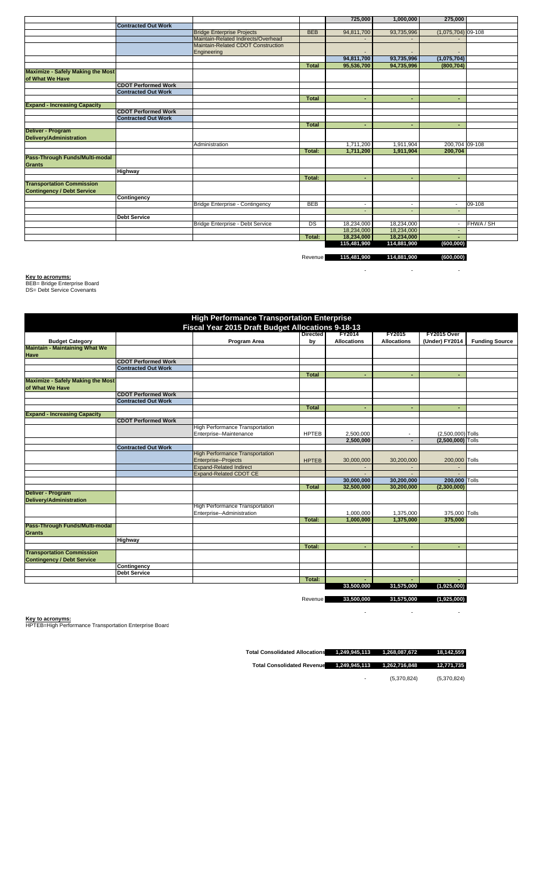|                                          |                            |                                     |              | 725,000                  | 1,000,000                | 275,000                  |           |
|------------------------------------------|----------------------------|-------------------------------------|--------------|--------------------------|--------------------------|--------------------------|-----------|
|                                          | <b>Contracted Out Work</b> |                                     |              |                          |                          |                          |           |
|                                          |                            | <b>Bridge Enterprise Projects</b>   | <b>BEB</b>   | 94,811,700               | 93,735,996               | $(1,075,704)$ 09-108     |           |
|                                          |                            | Maintain-Related Indirects/Overhead |              |                          |                          |                          |           |
|                                          |                            | Maintain-Related CDOT Construction  |              |                          |                          |                          |           |
|                                          |                            | Engineering                         |              |                          |                          |                          |           |
|                                          |                            |                                     |              | 94,811,700               | 93,735,996               | (1,075,704)              |           |
|                                          |                            |                                     | <b>Total</b> | 95,536,700               | 94,735,996               | (800, 704)               |           |
| <b>Maximize - Safely Making the Most</b> |                            |                                     |              |                          |                          |                          |           |
| of What We Have                          |                            |                                     |              |                          |                          |                          |           |
|                                          | <b>CDOT Performed Work</b> |                                     |              |                          |                          |                          |           |
|                                          | <b>Contracted Out Work</b> |                                     |              |                          |                          |                          |           |
|                                          |                            |                                     | Total        |                          |                          | ٠                        |           |
| <b>Expand - Increasing Capacity</b>      |                            |                                     |              |                          |                          |                          |           |
|                                          | <b>CDOT Performed Work</b> |                                     |              |                          |                          |                          |           |
|                                          | <b>Contracted Out Work</b> |                                     |              |                          |                          |                          |           |
|                                          |                            |                                     | <b>Total</b> | ۰                        |                          | ٠                        |           |
| Deliver - Program                        |                            |                                     |              |                          |                          |                          |           |
| Delivery/Administration                  |                            |                                     |              |                          |                          |                          |           |
|                                          |                            | Administration                      |              | 1,711,200                | 1,911,904                | 200,704 09-108           |           |
|                                          |                            |                                     | Total:       | 1,711,200                | 1,911,904                | 200,704                  |           |
| Pass-Through Funds/Multi-modal           |                            |                                     |              |                          |                          |                          |           |
| <b>Grants</b>                            |                            |                                     |              |                          |                          |                          |           |
|                                          | <b>Highway</b>             |                                     |              |                          |                          |                          |           |
|                                          |                            |                                     | Total:       | ٠                        |                          | ٠                        |           |
| <b>Transportation Commission</b>         |                            |                                     |              |                          |                          |                          |           |
| <b>Contingency / Debt Service</b>        |                            |                                     |              |                          |                          |                          |           |
|                                          | Contingency                |                                     |              |                          |                          |                          |           |
|                                          |                            | Bridge Enterprise - Contingency     | <b>BEB</b>   | $\overline{\phantom{a}}$ | $\overline{\phantom{a}}$ | $\overline{\phantom{a}}$ | 09-108    |
|                                          |                            |                                     |              |                          |                          | $\overline{\phantom{a}}$ |           |
|                                          | <b>Debt Service</b>        |                                     |              |                          |                          |                          |           |
|                                          |                            | Bridge Enterprise - Debt Service    | DS           | 18,234,000               | 18,234,000               |                          | FHWA / SH |
|                                          |                            |                                     |              | 18,234,000               | 18,234,000               |                          |           |
|                                          |                            |                                     | Total:       | 18,234,000               | 18,234,000               |                          |           |
|                                          |                            |                                     |              | 115,481,900              | 114,881,900              | (600, 000)               |           |

Revenue **115,481,900 114,881,900 (600,000)**

- - -

**Key to acronyms:** BEB= Bridge Enterprise Board DS= Debt Service Covenants

|                                          |                            | <b>High Performance Transportation Enterprise</b> |                 |                    |                          |                          |                       |
|------------------------------------------|----------------------------|---------------------------------------------------|-----------------|--------------------|--------------------------|--------------------------|-----------------------|
|                                          |                            | Fiscal Year 2015 Draft Budget Allocations 9-18-13 |                 |                    |                          |                          |                       |
|                                          |                            |                                                   | <b>Directed</b> | <b>FY2014</b>      | <b>FY2015</b>            | FY2015 Over              |                       |
| <b>Budget Category</b>                   |                            | Program Area                                      | by              | <b>Allocations</b> | <b>Allocations</b>       | (Under) FY2014           | <b>Funding Source</b> |
| <b>Maintain - Maintaining What We</b>    |                            |                                                   |                 |                    |                          |                          |                       |
| <b>Have</b>                              |                            |                                                   |                 |                    |                          |                          |                       |
|                                          | <b>CDOT Performed Work</b> |                                                   |                 |                    |                          |                          |                       |
|                                          | <b>Contracted Out Work</b> |                                                   |                 |                    |                          |                          |                       |
|                                          |                            |                                                   | <b>Total</b>    | ٠                  |                          |                          |                       |
| <b>Maximize - Safely Making the Most</b> |                            |                                                   |                 |                    |                          |                          |                       |
| of What We Have                          |                            |                                                   |                 |                    |                          |                          |                       |
|                                          | <b>CDOT Performed Work</b> |                                                   |                 |                    |                          |                          |                       |
|                                          | <b>Contracted Out Work</b> |                                                   |                 |                    |                          |                          |                       |
|                                          |                            |                                                   | <b>Total</b>    |                    |                          |                          |                       |
| <b>Expand - Increasing Capacity</b>      |                            |                                                   |                 |                    |                          |                          |                       |
|                                          | <b>CDOT Performed Work</b> |                                                   |                 |                    |                          |                          |                       |
|                                          |                            | <b>High Performance Transportation</b>            |                 |                    |                          |                          |                       |
|                                          |                            | Enterprise--Maintenance                           | <b>HPTEB</b>    | 2,500,000          | $\overline{\phantom{a}}$ | (2,500,000) Tolls        |                       |
|                                          |                            |                                                   |                 | 2,500,000          |                          | (2,500,000) Tolls        |                       |
|                                          | <b>Contracted Out Work</b> |                                                   |                 |                    |                          |                          |                       |
|                                          |                            | <b>High Performance Transportation</b>            |                 |                    |                          |                          |                       |
|                                          |                            | Enterprise--Projects                              | <b>HPTEB</b>    | 30,000,000         | 30,200,000               | 200,000 Tolls            |                       |
|                                          |                            | <b>Expand-Related Indirect</b>                    |                 |                    |                          | $\overline{\phantom{a}}$ |                       |
|                                          |                            | <b>Expand-Related CDOT CE</b>                     |                 |                    |                          |                          |                       |
|                                          |                            |                                                   |                 | 30,000,000         | 30,200,000               | 200,000 Tolls            |                       |
|                                          |                            |                                                   | <b>Total</b>    | 32,500,000         | 30,200,000               | (2,300,000)              |                       |
| Deliver - Program                        |                            |                                                   |                 |                    |                          |                          |                       |
| <b>Delivery/Administration</b>           |                            |                                                   |                 |                    |                          |                          |                       |
|                                          |                            | High Performance Transportation                   |                 |                    |                          |                          |                       |
|                                          |                            | Enterprise--Administration                        |                 | 1,000,000          | 1,375,000                | 375,000 Tolls            |                       |
|                                          |                            |                                                   | Total:          | 1,000,000          | 1,375,000                | 375.000                  |                       |
| Pass-Through Funds/Multi-modal           |                            |                                                   |                 |                    |                          |                          |                       |
| <b>Grants</b>                            |                            |                                                   |                 |                    |                          |                          |                       |
|                                          | <b>Highway</b>             |                                                   |                 |                    |                          |                          |                       |
|                                          |                            |                                                   | Total:          | ٠                  |                          |                          |                       |
| <b>Transportation Commission</b>         |                            |                                                   |                 |                    |                          |                          |                       |
| <b>Contingency / Debt Service</b>        |                            |                                                   |                 |                    |                          |                          |                       |
|                                          | Contingency                |                                                   |                 |                    |                          |                          |                       |
|                                          | <b>Debt Service</b>        |                                                   |                 |                    |                          |                          |                       |
|                                          |                            |                                                   | Total:          |                    |                          |                          |                       |
|                                          |                            |                                                   |                 | 33,500,000         | 31,575,000               | (1,925,000)              |                       |
|                                          |                            |                                                   |                 |                    |                          |                          |                       |
|                                          |                            |                                                   | Revenue         | 33,500,000         | 31,575,000               | (1,925,000)              |                       |

- - -

**Key to acronyms:** HPTEB=High Performance Transportation Enterprise Board

**Total Consolidated Allocations 1,249,945,113 1,268,087,672 18,142,559** 

**Total Consolidated Revenue 1,249,945,113 1,262,716,848 12,771,735** 

- (5,370,824) (5,370,824)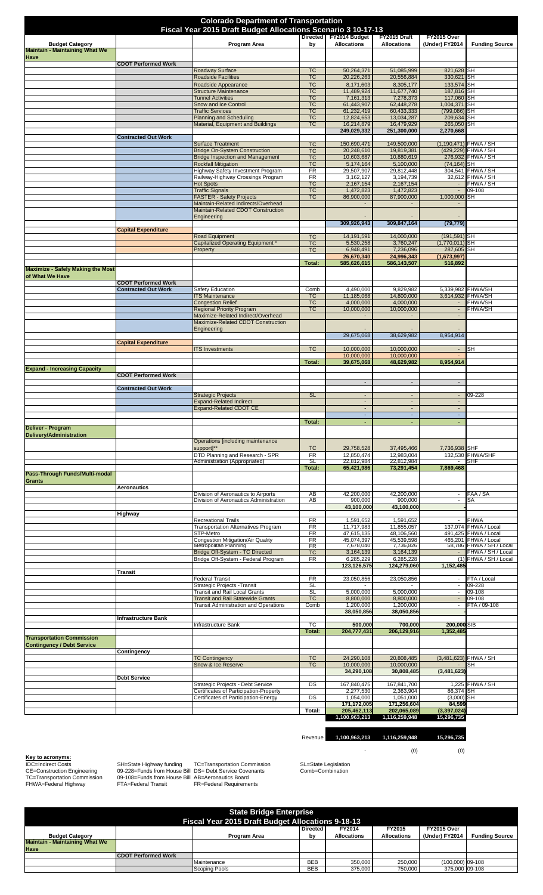| <b>Colorado Department of Transportation</b><br>Fiscal Year 2015 Draft Budget Allocations Scenario 3 10-17-13 |                            |                                                                                          |                        |                                            |                                         |                                         |                                               |  |  |
|---------------------------------------------------------------------------------------------------------------|----------------------------|------------------------------------------------------------------------------------------|------------------------|--------------------------------------------|-----------------------------------------|-----------------------------------------|-----------------------------------------------|--|--|
|                                                                                                               |                            |                                                                                          |                        | Directed FY2014 Budget                     | FY2015 Draft                            | FY2015 Over                             |                                               |  |  |
| <b>Budget Category</b><br><b>Maintain - Maintaining What We</b>                                               |                            | Program Area                                                                             | by                     | <b>Allocations</b>                         | <b>Allocations</b>                      | (Under) FY2014                          | <b>Funding Source</b>                         |  |  |
| <b>Have</b>                                                                                                   |                            |                                                                                          |                        |                                            |                                         |                                         |                                               |  |  |
|                                                                                                               | <b>CDOT Performed Work</b> | <b>Roadway Surface</b>                                                                   | <b>TC</b>              | 50,264,371                                 | 51.085.999                              | 821,628 SH                              |                                               |  |  |
|                                                                                                               |                            | <b>Roadside Facilities</b>                                                               | <b>TC</b>              | 20,226,263                                 | 20,556,884                              | 330,621 SH                              |                                               |  |  |
|                                                                                                               |                            | Roadside Appearance<br><b>Structure Maintenance</b>                                      | <b>TC</b><br><b>TC</b> | 8,171,603<br>11,489,924                    | 8,305,177<br>11,677,740                 | 133,574 SH<br>187,816 SH                |                                               |  |  |
|                                                                                                               |                            | <b>Tunnel Activities</b>                                                                 | <b>TC</b>              | 7,161,313                                  | 7,278,373                               | 117,060 SH                              |                                               |  |  |
|                                                                                                               |                            | Snow and Ice Control<br><b>Traffic Services</b>                                          | <b>TC</b><br><b>TC</b> | 61,443,907<br>61,232,419                   | 62,448,278<br>60,433,333                | 1,004,371 SH<br>(799,086) SH            |                                               |  |  |
|                                                                                                               |                            | <b>Planning and Scheduling</b><br>Material, Equipment and Buildings                      | <b>TC</b><br><b>TC</b> | 12,824,653<br>16,214,879                   | 13,034,287<br>16,479,929                | 209,634 SH<br>265,050 SH                |                                               |  |  |
|                                                                                                               |                            |                                                                                          |                        | 249,029,332                                | 251,300,000                             | 2,270,668                               |                                               |  |  |
|                                                                                                               | <b>Contracted Out Work</b> | <b>Surface Treatment</b>                                                                 | <b>TC</b>              | 150,690,471                                | 149,500,000                             |                                         | (1,190,471) FHWA / SH                         |  |  |
|                                                                                                               |                            | <b>Bridge On-System Construction</b>                                                     | <b>TC</b>              | 20,248,610                                 | 19,819,381                              |                                         | (429,229) FHWA / SH                           |  |  |
|                                                                                                               |                            | <b>Bridge Inspection and Management</b><br><b>Rockfall Mitigation</b>                    | <b>TC</b><br><b>TC</b> | 10,603,687<br>5,174,164                    | 10,880,619<br>5,100,000                 | $(74, 164)$ SH                          | 276,932 FHWA / SH                             |  |  |
|                                                                                                               |                            | Highway Safety Investment Program                                                        | FR                     | 29,507,907                                 | 29,812,448                              |                                         | 304,541 FHWA / SH                             |  |  |
|                                                                                                               |                            | Railway-Highway Crossings Program<br><b>Hot Spots</b>                                    | FR<br><b>TC</b>        | 3,162,127<br>2,167,154                     | 3,194,739<br>2,167,154                  | $\sim$                                  | 32,612 FHWA / SH<br>FHWA / SH                 |  |  |
|                                                                                                               |                            | <b>Traffic Signals</b>                                                                   | <b>TC</b>              | 1,472,823                                  | 1,472,823                               | $\sim$                                  | 09-108                                        |  |  |
|                                                                                                               |                            | <b>FASTER - Safety Projects</b><br>Maintain-Related Indirects/Overhead                   | <b>TC</b>              | 86,900,000                                 | 87,900,000                              | 1,000,000 SH                            |                                               |  |  |
|                                                                                                               |                            | Maintain-Related CDOT Construction                                                       |                        |                                            |                                         |                                         |                                               |  |  |
|                                                                                                               |                            | Engineering                                                                              |                        | 309,926,943                                | 309.847.164                             | (79, 779)                               |                                               |  |  |
|                                                                                                               | <b>Capital Expenditure</b> |                                                                                          |                        |                                            |                                         |                                         |                                               |  |  |
|                                                                                                               |                            | <b>Road Equipment</b><br>Capitalized Operating Equipment                                 | <b>TC</b><br><b>TC</b> | 14, 191, 591<br>5,530,258                  | 14,000,000<br>3,760,247                 | $(191, 591)$ SH<br>$(1,770,011)$ SH     |                                               |  |  |
|                                                                                                               |                            | Property                                                                                 | <b>TC</b>              | 6,948,491                                  | 7,236,096                               | 287,605 SH                              |                                               |  |  |
|                                                                                                               |                            |                                                                                          | Total:                 | 26,670,340<br>585,626,615                  | 24,996,343<br>586,143,507               | (1,673,997)<br>516.892                  |                                               |  |  |
| <b>Maximize - Safely Making the Most</b>                                                                      |                            |                                                                                          |                        |                                            |                                         |                                         |                                               |  |  |
| of What We Have                                                                                               | <b>CDOT Performed Work</b> |                                                                                          |                        |                                            |                                         |                                         |                                               |  |  |
|                                                                                                               | <b>Contracted Out Work</b> | <b>Safety Education</b>                                                                  | Comb                   | 4,490,000                                  | 9,829,982                               |                                         | 5,339,982 FHWA/SH<br>3,614,932 FHWA/SH        |  |  |
|                                                                                                               |                            | <b>ITS Maintenance</b><br><b>Congestion Relief</b>                                       | <b>TC</b><br><b>TC</b> | 11,185,068<br>4,000,000                    | 14,800,000<br>4,000,000                 | $\sim$                                  | <b>FHWA/SH</b>                                |  |  |
|                                                                                                               |                            | <b>Regional Priority Program</b>                                                         | <b>TC</b>              | 10,000,000                                 | 10,000,000                              | $\blacksquare$                          | <b>FHWA/SH</b>                                |  |  |
|                                                                                                               |                            | Maximize-Related Indirect/Overhead<br>Maximize-Related CDOT Construction                 |                        |                                            |                                         | $\overline{\phantom{a}}$                |                                               |  |  |
|                                                                                                               |                            | Engineering                                                                              |                        | 29,675,068                                 | 38,629,982                              | 8,954,914                               |                                               |  |  |
|                                                                                                               | <b>Capital Expenditure</b> |                                                                                          |                        |                                            |                                         |                                         |                                               |  |  |
|                                                                                                               |                            | <b>ITS Investments</b>                                                                   | <b>TC</b>              | 10,000,000<br>10,000,000                   | 10,000,000<br>10,000,000                | $\sim$                                  | SH                                            |  |  |
|                                                                                                               |                            |                                                                                          |                        | 39,675,068                                 | 48,629,982                              | 8,954,914                               |                                               |  |  |
|                                                                                                               |                            |                                                                                          | Total:                 |                                            |                                         |                                         |                                               |  |  |
| <b>Expand - Increasing Capacity</b>                                                                           |                            |                                                                                          |                        |                                            |                                         |                                         |                                               |  |  |
|                                                                                                               | <b>CDOT Performed Work</b> |                                                                                          |                        | $\blacksquare$                             | $\blacksquare$                          | $\blacksquare$                          |                                               |  |  |
|                                                                                                               | <b>Contracted Out Work</b> |                                                                                          |                        |                                            |                                         |                                         |                                               |  |  |
|                                                                                                               |                            | <b>Strategic Projects</b><br><b>Expand-Related Indirect</b>                              | <b>SL</b>              | $\blacksquare$                             | $\overline{\phantom{a}}$                | $\overline{\phantom{a}}$                | 09-228                                        |  |  |
|                                                                                                               |                            | <b>Expand-Related CDOT CE</b>                                                            |                        | $\overline{a}$<br>$\overline{\phantom{a}}$ | $\overline{a}$                          | $\overline{a}$                          |                                               |  |  |
|                                                                                                               |                            |                                                                                          | Total:                 |                                            |                                         | ÷                                       |                                               |  |  |
| Deliver - Program                                                                                             |                            |                                                                                          |                        |                                            |                                         |                                         |                                               |  |  |
| <b>Delivery/Administration</b>                                                                                |                            | Operations [including maintenance                                                        |                        |                                            |                                         |                                         |                                               |  |  |
|                                                                                                               |                            | support]**                                                                               | TC                     | 29,758,528                                 | 37,495,466                              | 7,736,938 SHF                           |                                               |  |  |
|                                                                                                               |                            | DTD Planning and Research - SPR<br>Administration (Appropriated)                         | <b>FR</b><br>SL        | 12,850,474<br>22,812,984                   | 12.983.004<br>22,812,984                |                                         | 132,530 FHWA/SHF<br>SHF                       |  |  |
| Pass-Through Funds/Multi-modal                                                                                |                            |                                                                                          | Total:                 | 65,421,986                                 | 73,291,454                              | 7,869,468                               |                                               |  |  |
| <b>Grants</b>                                                                                                 |                            |                                                                                          |                        |                                            |                                         |                                         |                                               |  |  |
|                                                                                                               | <b>Aeronautics</b>         | Division of Aeronautics to Airports                                                      | <b>AB</b>              | 42,200,000                                 | 42,200,000                              | $\overline{\phantom{a}}$                | FAA / SA                                      |  |  |
|                                                                                                               |                            | Division of Aeronautics Administration                                                   | AB                     | 900,000                                    | 900,000                                 | $\overline{\phantom{a}}$                | SA                                            |  |  |
|                                                                                                               | Highway                    |                                                                                          |                        | 43,100,000                                 | 43,100,000                              |                                         |                                               |  |  |
|                                                                                                               |                            | <b>Recreational Trails</b>                                                               | FR                     | 1,591,652                                  | 1,591,652                               | $\blacksquare$                          | <b>FHWA</b>                                   |  |  |
|                                                                                                               |                            | <b>Transportation Alternatives Program</b><br>STP-Metro                                  | FR<br>FR               | 11,717,983<br>47,615,135                   | 11,855,057<br>48,106,560                |                                         | 137,074 FHWA / Local<br>491,425 FHWA / Local  |  |  |
|                                                                                                               |                            | Congestion Mitigation/Air Quality                                                        | FR<br>FR               | 45,074,397<br>7,678,040                    | 45,539,598                              |                                         | 465,201 FHWA / Local                          |  |  |
|                                                                                                               |                            | Metropolitan Planning<br>Bridge Off-System - TC Directed                                 | <b>TC</b>              | 3,164,139                                  | 7,736,826<br>3,164,139                  | $\blacksquare$                          | 58,786 FHWA / SH / Local<br>FHWA / SH / Local |  |  |
|                                                                                                               |                            | Bridge Off-System - Federal Program                                                      | FR                     | 6,285,229<br>123,126,575                   | 6,285,228<br>124,279,060                | 1,152,485                               | (1) FHWA / SH / Local                         |  |  |
|                                                                                                               | Transit                    |                                                                                          |                        |                                            |                                         |                                         |                                               |  |  |
|                                                                                                               |                            | <b>Federal Transit</b><br>Strategic Projects - Transit                                   | FR<br><b>SL</b>        | 23,050,856                                 | 23,050,856                              | $\blacksquare$                          | FTA / Local<br>09-228                         |  |  |
|                                                                                                               |                            | Transit and Rail Local Grants                                                            | <b>SL</b>              | 5,000,000                                  | 5,000,000                               |                                         | 09-108                                        |  |  |
|                                                                                                               |                            | <b>Transit and Rail Statewide Grants</b><br><b>Transit Administration and Operations</b> | <b>TC</b><br>Comb      | 8,800,000<br>1,200,000                     | 8,800,000<br>1,200,000                  | $\sim$<br>$\overline{\phantom{a}}$      | 09-108<br>FTA / 09-108                        |  |  |
|                                                                                                               |                            |                                                                                          |                        | 38,050,856                                 | 38,050,856                              |                                         |                                               |  |  |
|                                                                                                               | Infrastructure Bank        | Infrastructure Bank                                                                      | ТC                     | 500,000                                    | 700,000                                 | 200,000 SIB                             |                                               |  |  |
|                                                                                                               |                            |                                                                                          | Total:                 | 204,777,43                                 | 206,129,91                              | 1,352,485                               |                                               |  |  |
| <b>Transportation Commission</b><br><b>Contingency / Debt Service</b>                                         |                            |                                                                                          |                        |                                            |                                         |                                         |                                               |  |  |
|                                                                                                               | Contingency                |                                                                                          |                        |                                            |                                         |                                         |                                               |  |  |
|                                                                                                               |                            | <b>TC Contingency</b><br>Snow & Ice Reserve                                              | <b>TC</b><br><b>TC</b> | 24,290,108<br>10,000,000                   | 20,808,485<br>10,000,000                |                                         | (3,481,623) FHWA / SH<br><b>SH</b>            |  |  |
|                                                                                                               |                            |                                                                                          |                        | 34,290,108                                 | 30,808,485                              | (3,481,623)                             |                                               |  |  |
|                                                                                                               | <b>Debt Service</b>        | Strategic Projects - Debt Service                                                        | DS                     | 167,840,475                                | 167,841,700                             |                                         | 1,225 FHWA / SH                               |  |  |
|                                                                                                               |                            | Certificates of Participation-Property                                                   |                        | 2,277,530                                  | 2,363,904                               | 86,374 SH                               |                                               |  |  |
|                                                                                                               |                            | Certificates of Participation-Energy                                                     | DS<br>Total:           | 1,054,000<br>171,172,005<br>205,462,113    | 1,051,000<br>171,256,604<br>202,065,089 | $(3,000)$ SH<br>84,599<br>(3, 397, 024) |                                               |  |  |

Revenue **1,100,963,213 1,116,259,948 15,296,735** 

 $\sim$  (0) (0)

**Key to acronyms:**<br>IDC=Indirect Costs<br>CE=Construction Engineering<br>TC=Transportation Commission<br>FHWA=Federal Highway

IDC=Indirect Costs SH=State Highway funding TC=Transportation Commission SL=State Legislation<br>CE=Construction Engineering 09-228=Funds from House Bill DS= Debt Service Covenants Comb=Combination<br>TC=T

|                                                          |                            | <b>State Bridge Enterprise</b> |                 |                    |                    |                    |                       |  |
|----------------------------------------------------------|----------------------------|--------------------------------|-----------------|--------------------|--------------------|--------------------|-----------------------|--|
| <b>Fiscal Year 2015 Draft Budget Allocations 9-18-13</b> |                            |                                |                 |                    |                    |                    |                       |  |
|                                                          |                            |                                | <b>Directed</b> | <b>FY2014</b>      | FY2015             | <b>FY2015 Over</b> |                       |  |
| <b>Budget Category</b>                                   |                            | <b>Program Area</b>            | b٧              | <b>Allocations</b> | <b>Allocations</b> | (Under) FY2014     | <b>Funding Source</b> |  |
| Maintain - Maintaining What We                           |                            |                                |                 |                    |                    |                    |                       |  |
| <b>Have</b>                                              |                            |                                |                 |                    |                    |                    |                       |  |
|                                                          | <b>CDOT Performed Work</b> |                                |                 |                    |                    |                    |                       |  |
|                                                          |                            | Maintenance                    | <b>BEB</b>      | 350,000            | 250.000            | $(100.000)$ 09-108 |                       |  |
|                                                          |                            | Scoping Pools                  | <b>BEB</b>      | 375,000            | 750,000            | 375,000 09-108     |                       |  |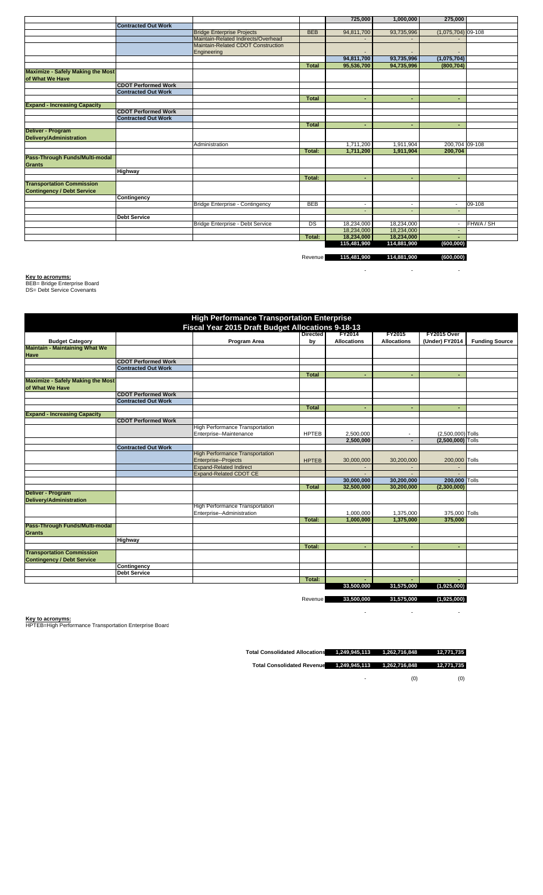|                                          |                            |                                     |              | 725,000                  | 1,000,000                | 275,000                  |           |
|------------------------------------------|----------------------------|-------------------------------------|--------------|--------------------------|--------------------------|--------------------------|-----------|
|                                          | <b>Contracted Out Work</b> |                                     |              |                          |                          |                          |           |
|                                          |                            | <b>Bridge Enterprise Projects</b>   | <b>BEB</b>   | 94,811,700               | 93,735,996               | $(1,075,704)$ 09-108     |           |
|                                          |                            | Maintain-Related Indirects/Overhead |              |                          |                          |                          |           |
|                                          |                            | Maintain-Related CDOT Construction  |              |                          |                          |                          |           |
|                                          |                            | Engineering                         |              |                          |                          |                          |           |
|                                          |                            |                                     |              | 94,811,700               | 93,735,996               | (1,075,704)              |           |
|                                          |                            |                                     | <b>Total</b> | 95,536,700               | 94,735,996               | (800, 704)               |           |
| <b>Maximize - Safely Making the Most</b> |                            |                                     |              |                          |                          |                          |           |
| of What We Have                          |                            |                                     |              |                          |                          |                          |           |
|                                          | <b>CDOT Performed Work</b> |                                     |              |                          |                          |                          |           |
|                                          | <b>Contracted Out Work</b> |                                     |              |                          |                          |                          |           |
|                                          |                            |                                     | Total        |                          |                          | ٠                        |           |
| <b>Expand - Increasing Capacity</b>      |                            |                                     |              |                          |                          |                          |           |
|                                          | <b>CDOT Performed Work</b> |                                     |              |                          |                          |                          |           |
|                                          | <b>Contracted Out Work</b> |                                     |              |                          |                          |                          |           |
|                                          |                            |                                     | <b>Total</b> | ۰                        |                          | ٠                        |           |
| Deliver - Program                        |                            |                                     |              |                          |                          |                          |           |
| Delivery/Administration                  |                            |                                     |              |                          |                          |                          |           |
|                                          |                            | Administration                      |              | 1,711,200                | 1,911,904                | 200,704 09-108           |           |
|                                          |                            |                                     | Total:       | 1,711,200                | 1,911,904                | 200,704                  |           |
| Pass-Through Funds/Multi-modal           |                            |                                     |              |                          |                          |                          |           |
| <b>Grants</b>                            |                            |                                     |              |                          |                          |                          |           |
|                                          | <b>Highway</b>             |                                     |              |                          |                          |                          |           |
|                                          |                            |                                     | Total:       | ٠                        |                          | ٠                        |           |
| <b>Transportation Commission</b>         |                            |                                     |              |                          |                          |                          |           |
| <b>Contingency / Debt Service</b>        |                            |                                     |              |                          |                          |                          |           |
|                                          | Contingency                |                                     |              |                          |                          |                          |           |
|                                          |                            | Bridge Enterprise - Contingency     | <b>BEB</b>   | $\overline{\phantom{a}}$ | $\overline{\phantom{a}}$ | $\overline{\phantom{a}}$ | 09-108    |
|                                          |                            |                                     |              |                          |                          | $\overline{\phantom{a}}$ |           |
|                                          | <b>Debt Service</b>        |                                     |              |                          |                          |                          |           |
|                                          |                            | Bridge Enterprise - Debt Service    | DS           | 18,234,000               | 18,234,000               |                          | FHWA / SH |
|                                          |                            |                                     |              | 18,234,000               | 18,234,000               |                          |           |
|                                          |                            |                                     | Total:       | 18,234,000               | 18,234,000               |                          |           |
|                                          |                            |                                     |              | 115,481,900              | 114,881,900              | (600, 000)               |           |

Revenue **115,481,900 114,881,900 (600,000)**

- - -

**Key to acronyms:** BEB= Bridge Enterprise Board DS= Debt Service Covenants

| <b>Budget Category</b><br><b>CDOT Performed Work</b><br><b>Contracted Out Work</b><br><b>CDOT Performed Work</b><br><b>Contracted Out Work</b><br><b>CDOT Performed Work</b> | <b>High Performance Transportation Enterprise</b><br>Fiscal Year 2015 Draft Budget Allocations 9-18-13<br>Program Area | <b>Directed</b><br>by | <b>FY2014</b><br><b>Allocations</b> | <b>FY2015</b><br><b>Allocations</b> | FY2015 Over<br>(Under) FY2014 | <b>Funding Source</b> |
|------------------------------------------------------------------------------------------------------------------------------------------------------------------------------|------------------------------------------------------------------------------------------------------------------------|-----------------------|-------------------------------------|-------------------------------------|-------------------------------|-----------------------|
|                                                                                                                                                                              |                                                                                                                        |                       |                                     |                                     |                               |                       |
| <b>Maintain - Maintaining What We</b>                                                                                                                                        |                                                                                                                        |                       |                                     |                                     |                               |                       |
| <b>Have</b>                                                                                                                                                                  |                                                                                                                        |                       |                                     |                                     |                               |                       |
|                                                                                                                                                                              |                                                                                                                        |                       |                                     |                                     |                               |                       |
|                                                                                                                                                                              |                                                                                                                        |                       |                                     |                                     |                               |                       |
| <b>Maximize - Safely Making the Most</b><br>of What We Have                                                                                                                  |                                                                                                                        |                       |                                     |                                     |                               |                       |
|                                                                                                                                                                              |                                                                                                                        |                       |                                     |                                     |                               |                       |
|                                                                                                                                                                              |                                                                                                                        | <b>Total</b>          |                                     |                                     |                               |                       |
|                                                                                                                                                                              |                                                                                                                        |                       |                                     |                                     |                               |                       |
|                                                                                                                                                                              |                                                                                                                        |                       |                                     |                                     |                               |                       |
|                                                                                                                                                                              |                                                                                                                        |                       |                                     |                                     |                               |                       |
| <b>Expand - Increasing Capacity</b>                                                                                                                                          |                                                                                                                        |                       |                                     |                                     |                               |                       |
|                                                                                                                                                                              |                                                                                                                        | <b>Total</b>          |                                     |                                     |                               |                       |
|                                                                                                                                                                              |                                                                                                                        |                       |                                     |                                     |                               |                       |
|                                                                                                                                                                              |                                                                                                                        |                       |                                     |                                     |                               |                       |
|                                                                                                                                                                              | <b>High Performance Transportation</b>                                                                                 |                       |                                     |                                     |                               |                       |
|                                                                                                                                                                              | Enterprise--Maintenance                                                                                                | <b>HPTEB</b>          | 2,500,000                           |                                     | (2,500,000) Tolls             |                       |
|                                                                                                                                                                              |                                                                                                                        |                       | 2,500,000                           |                                     | (2,500,000) Tolls             |                       |
| <b>Contracted Out Work</b>                                                                                                                                                   |                                                                                                                        |                       |                                     |                                     |                               |                       |
|                                                                                                                                                                              | <b>High Performance Transportation</b>                                                                                 |                       |                                     |                                     |                               |                       |
|                                                                                                                                                                              | Enterprise--Projects                                                                                                   | <b>HPTEB</b>          | 30,000,000                          | 30,200,000                          | 200,000 Tolls                 |                       |
|                                                                                                                                                                              | <b>Expand-Related Indirect</b>                                                                                         |                       |                                     |                                     |                               |                       |
|                                                                                                                                                                              | <b>Expand-Related CDOT CE</b>                                                                                          |                       |                                     |                                     |                               |                       |
|                                                                                                                                                                              |                                                                                                                        |                       | 30,000,000                          | 30,200,000                          | 200,000 Tolls                 |                       |
|                                                                                                                                                                              |                                                                                                                        | <b>Total</b>          | 32,500,000                          | 30,200,000                          | (2,300,000)                   |                       |
| Deliver - Program                                                                                                                                                            |                                                                                                                        |                       |                                     |                                     |                               |                       |
| <b>Delivery/Administration</b>                                                                                                                                               |                                                                                                                        |                       |                                     |                                     |                               |                       |
|                                                                                                                                                                              | <b>High Performance Transportation</b>                                                                                 |                       |                                     |                                     |                               |                       |
|                                                                                                                                                                              | Enterprise--Administration                                                                                             |                       | 1,000,000<br>1.000.000              | 1,375,000                           | 375,000 Tolls                 |                       |
| Pass-Through Funds/Multi-modal                                                                                                                                               |                                                                                                                        | Total:                |                                     | 1,375,000                           | 375.000                       |                       |
|                                                                                                                                                                              |                                                                                                                        |                       |                                     |                                     |                               |                       |
| <b>Grants</b>                                                                                                                                                                |                                                                                                                        |                       |                                     |                                     |                               |                       |
| Highway                                                                                                                                                                      |                                                                                                                        |                       |                                     |                                     |                               |                       |
| <b>Transportation Commission</b>                                                                                                                                             |                                                                                                                        | Total:                | $\overline{\phantom{a}}$            | $\overline{\phantom{a}}$            | ٠                             |                       |
| <b>Contingency / Debt Service</b>                                                                                                                                            |                                                                                                                        |                       |                                     |                                     |                               |                       |
| Contingency                                                                                                                                                                  |                                                                                                                        |                       |                                     |                                     |                               |                       |
| <b>Debt Service</b>                                                                                                                                                          |                                                                                                                        |                       |                                     |                                     |                               |                       |
|                                                                                                                                                                              |                                                                                                                        | Total:                |                                     |                                     |                               |                       |
|                                                                                                                                                                              |                                                                                                                        |                       |                                     |                                     |                               |                       |
|                                                                                                                                                                              |                                                                                                                        |                       | 33,500,000                          | 31,575,000                          | (1,925,000)                   |                       |

Revenue **33,500,000 31,575,000 (1,925,000)** 

- - -

**Key to acronyms:** HPTEB=High Performance Transportation Enterprise Board

**Total Consolidated Allocations 1,249,945,113 1,262,716,848 12,771,735** 

**Total Consolidated Revenue 1,249,945,113 1,262,716,848 12,771,735** 

 $\sim$  (0) (0)